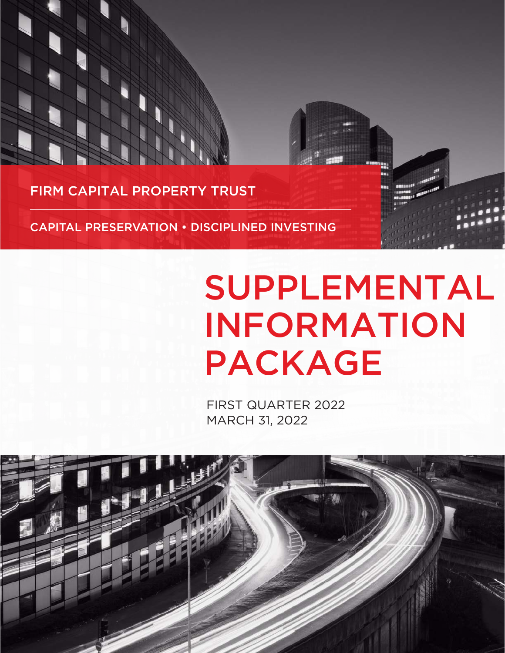FIRM CAPITAL PROPERTY TRUST

CAPITAL PRESERVATION • DISCIPLINED INVESTING

# SUPPLEMENTAL INFORMATION PACKAGE

FIRST QUARTER 2022 MARCH 31, 2022

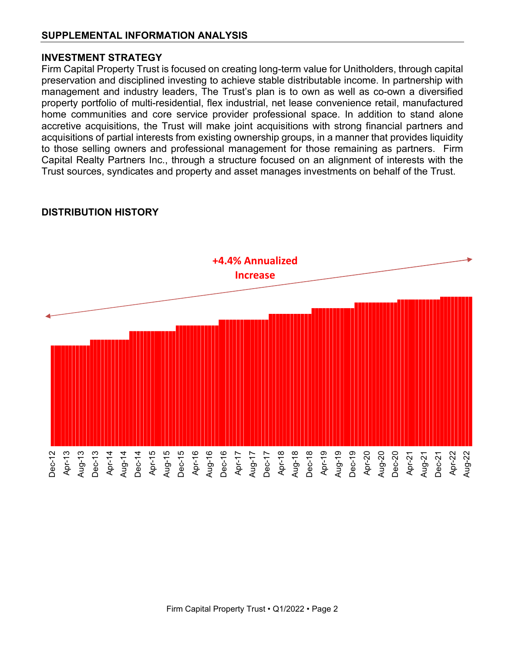#### **INVESTMENT STRATEGY**

Firm Capital Property Trust is focused on creating long-term value for Unitholders, through capital preservation and disciplined investing to achieve stable distributable income. In partnership with management and industry leaders, The Trust's plan is to own as well as co-own a diversified property portfolio of multi-residential, flex industrial, net lease convenience retail, manufactured home communities and core service provider professional space. In addition to stand alone accretive acquisitions, the Trust will make joint acquisitions with strong financial partners and acquisitions of partial interests from existing ownership groups, in a manner that provides liquidity to those selling owners and professional management for those remaining as partners. Firm Capital Realty Partners Inc., through a structure focused on an alignment of interests with the Trust sources, syndicates and property and asset manages investments on behalf of the Trust.



### **DISTRIBUTION HISTORY**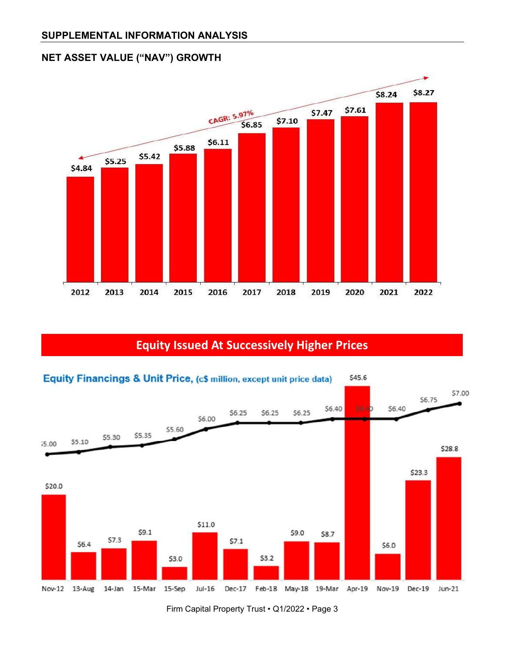## **NET ASSET VALUE ("NAV") GROWTH**



# **Equity Issued At Successively Higher Prices**



Firm Capital Property Trust • Q1/2022 • Page 3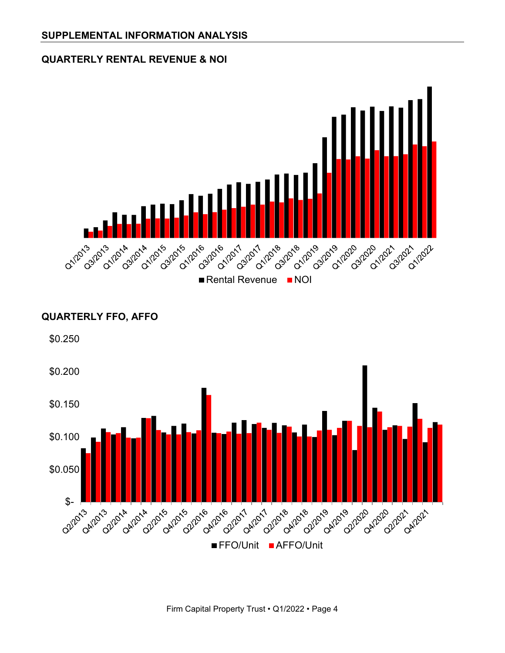#### **QUARTERLY RENTAL REVENUE & NOI**



#### **QUARTERLY FFO, AFFO**



Firm Capital Property Trust • Q1/2022 • Page 4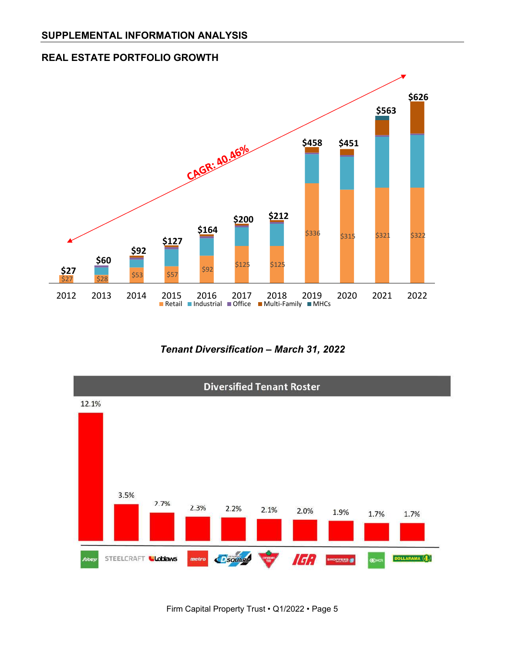



*Tenant Diversification – March 31, 2022*

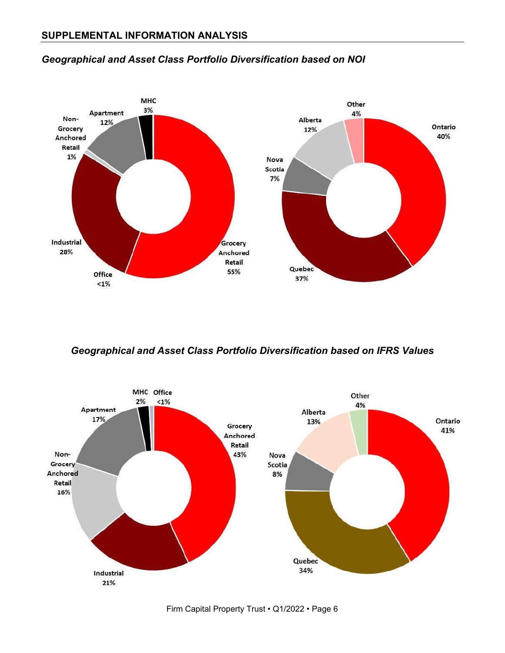

#### *Geographical and Asset Class Portfolio Diversification based on NOI*

*Geographical and Asset Class Portfolio Diversification based on IFRS Values*

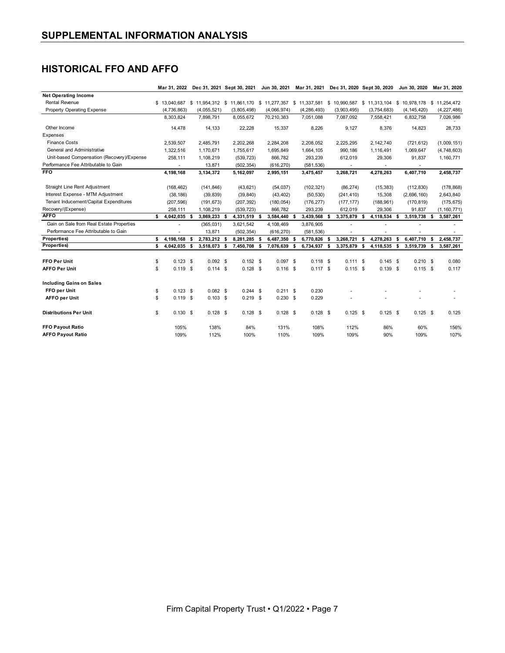### **HISTORICAL FFO AND AFFO**

|                                                      | Mar 31, 2022       |      | Dec 31, 2021 Sept 30, 2021                                       |  |             |      | Jun 30, 2021 |   | Mar 31, 2021  |         | Dec 31, 2020 Sept 30, 2020 |    |             |      | Jun 30, 2020                           |    | Mar 31, 2020  |
|------------------------------------------------------|--------------------|------|------------------------------------------------------------------|--|-------------|------|--------------|---|---------------|---------|----------------------------|----|-------------|------|----------------------------------------|----|---------------|
| <b>Net Operating Income</b>                          |                    |      |                                                                  |  |             |      |              |   |               |         |                            |    |             |      |                                        |    |               |
| <b>Rental Revenue</b>                                | \$13,040,687       |      | \$11,954,312 \$11,861,170 \$11,277,357 \$11,337,581 \$10,990,587 |  |             |      |              |   |               |         |                            |    |             |      | \$11,313,104 \$10,978,178 \$11,254,472 |    |               |
| Property Operating Expense                           | (4,736,863)        |      | (4,055,521)                                                      |  | (3,805,498) |      | (4,066,974)  |   | (4, 286, 493) |         | (3,903,495)                |    | (3,754,683) |      | (4, 145, 420)                          |    | (4,227,486)   |
|                                                      | 8,303,824          |      | 7,898,791                                                        |  | 8,055,672   |      | 70,210,383   |   | 7,051,088     |         | 7,087,092                  |    | 7,558,421   |      | 6,832,758                              |    | 7,026,986     |
| Other Income                                         | 14,478             |      | 14,133                                                           |  | 22,228      |      | 15,337       |   | 8,226         |         | 9,127                      |    | 8,376       |      | 14,823                                 |    | 28,733        |
| Expenses                                             |                    |      |                                                                  |  |             |      |              |   |               |         |                            |    |             |      |                                        |    |               |
| <b>Finance Costs</b>                                 | 2,539,507          |      | 2,485,791                                                        |  | 2,202,268   |      | 2,284,208    |   | 2,208,052     |         | 2,225,295                  |    | 2,142,740   |      | (721, 612)                             |    | (1,009,151)   |
| General and Administrative                           | 1,322,516          |      | 1,170,671                                                        |  | 1,755,617   |      | 1,695,849    |   | 1,664,105     |         | 990,186                    |    | 1,116,491   |      | 1,069,647                              |    | (4,748,603)   |
| Unit-based Compensation (Recovery)/Expense           | 258,111            |      | 1,108,219                                                        |  | (539, 723)  |      | 866,782      |   | 293,239       | 612,019 |                            |    | 29,306      |      | 91,837                                 |    | 1,160,771     |
| Performance Fee Attributable to Gain                 | ٠                  |      | 13,871                                                           |  | (502, 354)  |      | (616, 270)   |   | (581, 536)    |         | $\sim$                     |    | $\sim$      |      | ٠                                      |    |               |
| <b>FFO</b>                                           | 4,198,168          |      | 3,134,372                                                        |  | 5,162,097   |      | 2,995,151    |   | 3,475,457     |         | 3,268,721                  |    | 4,278,263   |      | 6,407,710                              |    | 2,458,737     |
| Straight Line Rent Adjustment                        | (168, 462)         |      | (141, 846)                                                       |  | (43, 621)   |      | (54, 037)    |   | (102, 321)    |         | (86, 274)                  |    | (15, 383)   |      | (112, 830)                             |    | (178, 868)    |
| Interest Expense - MTM Adjustment                    | (38, 186)          |      | (39, 839)                                                        |  | (39, 840)   |      | (43, 402)    |   | (50, 530)     |         | (241, 410)                 |    | 15,308      |      | (2,696,160)                            |    | 2,643,840     |
| Tenant Inducement/Capital Expenditures<br>(207, 596) |                    |      | (191, 673)                                                       |  | (207, 392)  |      | (180, 054)   |   | (176, 277)    |         | (177, 177)                 |    | (188, 961)  |      | (170, 819)                             |    | (175, 675)    |
| Recovery/(Expense)                                   | 258,111            |      | 1,108,219                                                        |  | (539, 723)  |      | 866,782      |   | 293,239       |         | 612,019                    |    | 29,306      |      | 91,837                                 |    | (1, 160, 771) |
| <b>AFFO</b>                                          | \$<br>4,042,035 \$ |      | 3,869,233 \$                                                     |  | 4,331,519   | - \$ | 3,584,440    | 5 | 3,439,568     | 5       | 3,375,879                  | -S | 4,118,534   | - \$ | 3,519,738                              | s. | 3,587,261     |
| Gain on Sale from Real Estate Properties             |                    |      | (365, 031)                                                       |  | 3,621,542   |      | 4,108,469    |   | 3,876,905     |         |                            |    |             |      |                                        |    |               |
| Performance Fee Attributable to Gain                 | ٠                  |      | 13,871                                                           |  | (502, 354)  |      | (616, 270)   |   | (581, 536)    |         |                            |    | ٠           |      |                                        |    |               |
| Properties)                                          | \$<br>4,198,168    | \$   | 2,783,212 \$                                                     |  | 8,281,285   | \$   | 6,487,350    | S | 6,770,826     | s       | 3,268,721                  | \$ | 4,278,263   | \$   | 6,407,710                              | \$ | 2,458,737     |
| Properties)                                          | s<br>4,042,035     | - \$ | 3,518,073 \$                                                     |  | 7,450,708   | \$   | 7,076,639    | Я | 6,734,937     | -S      | 3,375,879                  | \$ | 4,118,535   | - 5  | 3,519,739                              | s. | 3,587,261     |
| FFO Per Unit                                         | $0.123$ \$<br>\$   |      | $0.092$ \$                                                       |  | $0.152$ \$  |      | $0.097$ \$   |   | $0.118$ \$    |         | $0.111$ \$                 |    | $0.145$ \$  |      | $0.210$ \$                             |    | 0.080         |
| <b>AFFO Per Unit</b>                                 | \$<br>$0.119$ \$   |      | $0.114$ \$                                                       |  | $0.128$ \$  |      | $0.116$ \$   |   | $0.117$ \$    |         | $0.115$ \$                 |    | $0.139$ \$  |      | $0.115$ \$                             |    | 0.117         |
|                                                      |                    |      |                                                                  |  |             |      |              |   |               |         |                            |    |             |      |                                        |    |               |
| <b>Including Gains on Sales</b>                      |                    |      |                                                                  |  |             |      |              |   |               |         |                            |    |             |      |                                        |    |               |
| FFO per Unit                                         | \$<br>$0.123$ \$   |      | $0.082$ \$                                                       |  | $0.244$ \$  |      | $0.211$ \$   |   | 0.230         |         |                            |    |             |      |                                        |    |               |
| <b>AFFO per Unit</b>                                 | $0.119$ \$<br>\$   |      | $0.103$ \$                                                       |  | $0.219$ \$  |      | $0.230$ \$   |   | 0.229         |         |                            |    |             |      |                                        |    |               |
| <b>Distributions Per Unit</b>                        | \$<br>$0.130$ \$   |      | $0.128$ \$                                                       |  | $0.128$ \$  |      | $0.128$ \$   |   | $0.128$ \$    |         | $0.125$ \$                 |    | $0.125$ \$  |      | $0.125$ \$                             |    | 0.125         |
| <b>FFO Payout Ratio</b>                              | 105%               |      | 138%                                                             |  | 84%         |      | 131%         |   | 108%          |         | 112%                       |    | 86%         |      | 60%                                    |    | 156%          |
| <b>AFFO Payout Ratio</b><br>109%                     |                    |      | 112%                                                             |  | 100%        |      | 110%         |   | 109%          |         | 109%                       |    | 90%         |      | 109%                                   |    | 107%          |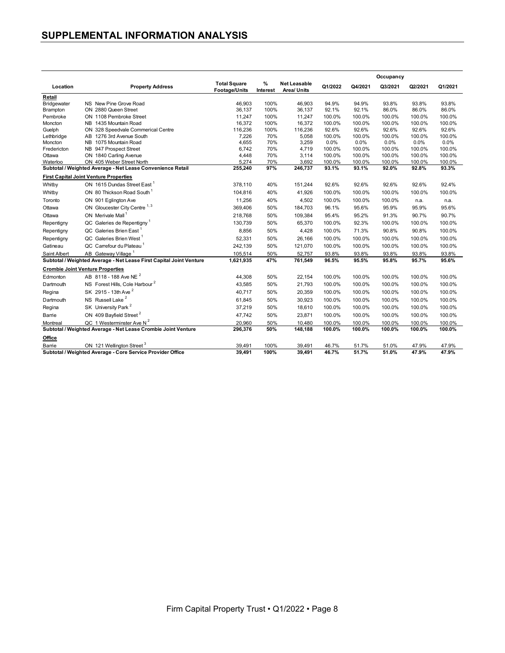### **SUPPLEMENTAL INFORMATION ANALYSIS**

|                        |                                                                     |                                             |                  |                                    |                |                   | Occupancy      |                |                |
|------------------------|---------------------------------------------------------------------|---------------------------------------------|------------------|------------------------------------|----------------|-------------------|----------------|----------------|----------------|
| Location               | <b>Property Address</b>                                             | <b>Total Square</b><br><b>Footage/Units</b> | $\%$<br>Interest | <b>Net Leasable</b><br>Area/ Units | Q1/2022        | Q4/2021           | Q3/2021        | Q2/2021        | Q1/2021        |
| Retail                 |                                                                     |                                             |                  |                                    |                |                   |                |                |                |
| Bridgewater            | NS New Pine Grove Road                                              | 46.903                                      | 100%             | 46.903                             | 94.9%          | 94.9%             | 93.8%          | 93.8%          | 93.8%          |
| Brampton               | ON 2880 Queen Street                                                | 36,137                                      | 100%             | 36,137                             | 92.1%          | 92.1%             | 86.0%          | 86.0%          | 86.0%          |
| Pembroke               | ON 1108 Pembroke Street                                             | 11,247                                      | 100%             | 11,247                             | 100.0%         | 100.0%            | 100.0%         | 100.0%         | 100.0%         |
| Moncton                | NB 1435 Mountain Road                                               | 16,372                                      | 100%             | 16,372                             | 100.0%         | 100.0%            | 100.0%         | 100.0%         | 100.0%         |
| Guelph                 | ON 328 Speedvale Commerical Centre                                  | 116,236                                     | 100%             | 116,236                            | 92.6%          | 92.6%             | 92.6%          | 92.6%          | 92.6%          |
| Lethbridge             | AB 1276 3rd Avenue South                                            | 7,226                                       | 70%              | 5,058                              | 100.0%         | 100.0%            | 100.0%         | 100.0%         | 100.0%         |
| Moncton<br>Fredericton | NB 1075 Mountain Road<br>NB 947 Prospect Street                     | 4,655<br>6,742                              | 70%<br>70%       | 3,259<br>4,719                     | 0.0%<br>100.0% | $0.0\%$<br>100.0% | 0.0%<br>100.0% | 0.0%<br>100.0% | 0.0%<br>100.0% |
| Ottawa                 | ON 1840 Carling Avenue                                              | 4,448                                       | 70%              | 3,114                              | 100.0%         | 100.0%            | 100.0%         | 100.0%         | 100.0%         |
| Waterloo               | ON 405 Weber Street North                                           | 5,274                                       | 70%              | 3,692                              | 100.0%         | 100.0%            | 100.0%         | 100.0%         | 100.0%         |
|                        | Subtotal / Weighted Average - Net Lease Convenience Retail          | 255,240                                     | 97%              | 246,737                            | 93.1%          | 93.1%             | 92.0%          | 92.8%          | 93.3%          |
|                        | <b>First Capital Joint Venture Properties</b>                       |                                             |                  |                                    |                |                   |                |                |                |
| Whitby                 | ON 1615 Dundas Street East <sup>1</sup>                             | 378.110                                     | 40%              | 151,244                            | 92.6%          | 92.6%             | 92.6%          | 92.6%          | 92.4%          |
| Whitby                 | ON 80 Thickson Road South                                           | 104,816                                     | 40%              | 41,926                             | 100.0%         | 100.0%            | 100.0%         | 100.0%         | 100.0%         |
| Toronto                | ON 901 Eglington Ave                                                | 11,256                                      | 40%              | 4,502                              | 100.0%         | 100.0%            | 100.0%         | n.a.           | n.a.           |
| Ottawa                 | ON Gloucester City Centre <sup>1, 3</sup>                           | 369,406                                     | 50%              | 184,703                            | 96.1%          | 95.6%             | 95.9%          | 95.9%          | 95.6%          |
| Ottawa                 | ON Merivale Mall <sup>1</sup>                                       | 218,768                                     | 50%              | 109,384                            | 95.4%          | 95.2%             | 91.3%          | 90.7%          | 90.7%          |
| Repentigny             | QC Galeries de Repentigny <sup>1</sup>                              | 130,739                                     | 50%              | 65,370                             | 100.0%         | 92.3%             | 100.0%         | 100.0%         | 100.0%         |
| Repentigny             | QC Galeries Brien East <sup>1</sup>                                 | 8,856                                       | 50%              | 4,428                              | 100.0%         | 71.3%             | 90.8%          | 90.8%          | 100.0%         |
| Repentigny             | QC Galeries Brien West <sup>1</sup>                                 | 52,331                                      | 50%              | 26,166                             | 100.0%         | 100.0%            | 100.0%         | 100.0%         | 100.0%         |
| Gatineau               | QC Carrefour du Plateau <sup>1</sup>                                | 242,139                                     | 50%              | 121,070                            | 100.0%         | 100.0%            | 100.0%         | 100.0%         | 100.0%         |
| Saint Albert           | AB Gateway Village <sup>1</sup>                                     | 105,514                                     | 50%              | 52,757                             | 93.8%          | 93.8%             | 93.8%          | 93.8%          | 93.8%          |
|                        | Subtotal / Weighted Average - Net Lease First Capital Joint Venture | 1,621,935                                   | 47%              | 761,549                            | 96.5%          | 95.5%             | 95.8%          | 95.7%          | 95.6%          |
|                        | <b>Crombie Joint Venture Properties</b>                             |                                             |                  |                                    |                |                   |                |                |                |
| Edmonton               | AB 8118 - 188 Ave NE <sup>2</sup>                                   | 44,308                                      | 50%              | 22,154                             | 100.0%         | 100.0%            | 100.0%         | 100.0%         | 100.0%         |
| Dartmouth              | NS Forest Hills, Cole Harbour <sup>2</sup>                          | 43,585                                      | 50%              | 21,793                             | 100.0%         | 100.0%            | 100.0%         | 100.0%         | 100.0%         |
| Regina                 | SK 2915 - 13th Ave <sup>2</sup>                                     | 40,717                                      | 50%              | 20,359                             | 100.0%         | 100.0%            | 100.0%         | 100.0%         | 100.0%         |
| Dartmouth              | NS Russell Lake <sup>2</sup>                                        | 61,845                                      | 50%              | 30,923                             | 100.0%         | 100.0%            | 100.0%         | 100.0%         | 100.0%         |
| Regina                 | SK University Park <sup>2</sup>                                     | 37,219                                      | 50%              | 18,610                             | 100.0%         | 100.0%            | 100.0%         | 100.0%         | 100.0%         |
| Barrie                 | ON 409 Bayfield Street <sup>2</sup>                                 | 47,742                                      | 50%              | 23,871                             | 100.0%         | 100.0%            | 100.0%         | 100.0%         | 100.0%         |
| Montreal               | QC 1 Westerminster Ave $N^2$                                        | 20,960                                      | 50%              | 10,480                             | 100.0%         | 100.0%            | 100.0%         | 100.0%         | 100.0%         |
|                        | Subtotal / Weighted Average - Net Lease Crombie Joint Venture       | 296,376                                     | 50%              | 148,188                            | 100.0%         | 100.0%            | 100.0%         | 100.0%         | 100.0%         |
| Office                 |                                                                     |                                             |                  |                                    |                |                   |                |                |                |
| Barrie                 | ON 121 Wellington Street <sup>3</sup>                               | 39,491                                      | 100%             | 39,491                             | 46.7%          | 51.7%             | 51.0%          | 47.9%          | 47.9%          |
|                        | Subtotal / Weighted Average - Core Service Provider Office          | 39.491                                      | 100%             | 39.491                             | 46.7%          | 51.7%             | 51.0%          | 47.9%          | 47.9%          |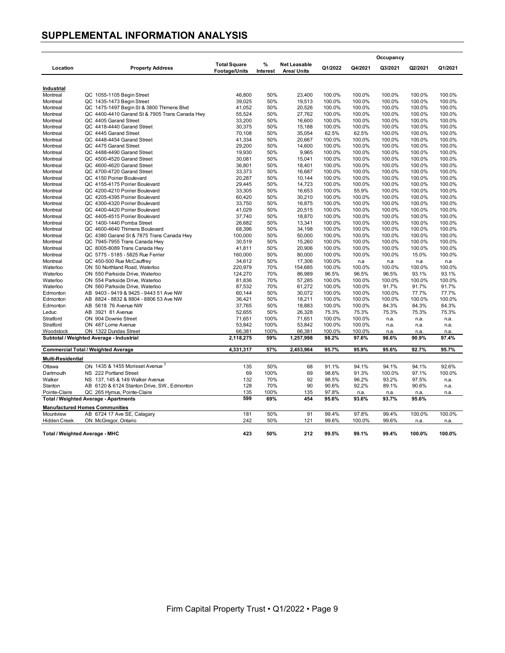#### **SUPPLEMENTAL INFORMATION ANALYSIS**

|                                       |                                                |                     |          |                     |         |               | Occupancy     |               |         |
|---------------------------------------|------------------------------------------------|---------------------|----------|---------------------|---------|---------------|---------------|---------------|---------|
| Location                              | <b>Property Address</b>                        | <b>Total Square</b> | %        | <b>Net Leasable</b> | Q1/2022 | Q4/2021       | Q3/2021       | Q2/2021       | Q1/2021 |
|                                       |                                                | Footage/Units       | Interest | <b>Area/ Units</b>  |         |               |               |               |         |
| Industrial                            |                                                |                     |          |                     |         |               |               |               |         |
| Montreal                              | QC 1055-1105 Begin Street                      | 46,800              | 50%      | 23,400              | 100.0%  | 100.0%        | 100.0%        | 100.0%        | 100.0%  |
| Montreal                              | QC 1435-1473 Begin Street                      | 39,025              | 50%      | 19,513              | 100.0%  | 100.0%        | 100.0%        | 100.0%        | 100.0%  |
| Montreal                              | QC 1475-1497 Begin St & 3800 Thimens Blvd      | 41,052              | 50%      | 20,526              | 100.0%  | 100.0%        | 100.0%        | 100.0%        | 100.0%  |
| Montreal                              | QC 4400-4410 Garand St & 7905 Trans Canada Hwy | 55,524              | 50%      | 27.762              | 100.0%  | 100.0%        | 100.0%        | 100.0%        | 100.0%  |
| Montreal                              | QC 4405 Garand Street                          | 33,200              | 50%      | 16,600              | 100.0%  | 100.0%        | 100.0%        | 100.0%        | 100.0%  |
| Montreal                              | QC 4418-4440 Garand Street                     | 30,375              | 50%      | 15,188              | 100.0%  | 100.0%        | 100.0%        | 100.0%        | 100.0%  |
| Montreal                              | QC 4445 Garand Street                          | 70,108              | 50%      | 35,054              | 62.5%   | 62.5%         | 100.0%        | 100.0%        | 100.0%  |
| Montreal                              | QC 4448-4454 Garand Street                     | 41,334              | 50%      | 20,667              | 100.0%  | 100.0%        | 100.0%        | 100.0%        | 100.0%  |
| Montreal                              | QC 4475 Garand Street                          | 29,200              | 50%      | 14,600              | 100.0%  | 100.0%        | 100.0%        | 100.0%        | 100.0%  |
| Montreal                              | QC 4488-4490 Garand Street                     | 19,930              | 50%      | 9,965               | 100.0%  | 100.0%        | 100.0%        | 100.0%        | 100.0%  |
| Montreal                              | QC 4500-4520 Garand Street                     | 30,081              | 50%      | 15,041              | 100.0%  | 100.0%        | 100.0%        | 100.0%        | 100.0%  |
| Montreal                              | QC 4600-4620 Garand Street                     | 36,801              | 50%      | 18,401              | 100.0%  | 100.0%        | 100.0%        | 100.0%        | 100.0%  |
| Montreal                              | QC 4700-4720 Garand Street                     | 33,373              | 50%      | 16,687              | 100.0%  | 100.0%        | 100.0%        | 100.0%        | 100.0%  |
| Montreal                              | QC 4150 Poirier Boulevard                      | 20,287              | 50%      | 10,144              | 100.0%  | 100.0%        | 100.0%        | 100.0%        | 100.0%  |
| Montreal                              | QC 4155-4175 Poirier Boulevard                 | 29,445              | 50%      | 14,723              | 100.0%  | 100.0%        | 100.0%        | 100.0%        | 100.0%  |
| Montreal                              | QC 4200-4210 Poirier Boulevard                 | 33,305              | 50%      | 16,653              | 100.0%  | 55.9%         | 100.0%        | 100.0%        | 100.0%  |
| Montreal                              | QC 4205-4395 Poirier Boulevard                 | 60,420              | 50%      | 30,210              | 100.0%  | 100.0%        | 100.0%        | 100.0%        | 100.0%  |
| Montreal                              | QC 4300-4320 Poirier Boulevard                 | 33,750              | 50%      | 16,875              | 100.0%  | 100.0%        | 100.0%        | 100.0%        | 100.0%  |
| Montreal                              | QC 4400-4420 Poirier Boulevard                 | 41,029              | 50%      | 20,515              | 100.0%  | 100.0%        | 100.0%        | 100.0%        | 100.0%  |
| Montreal                              | QC 4405-4515 Poirier Boulevard                 | 37,740              | 50%      | 18,870              | 100.0%  | 100.0%        | 100.0%        | 100.0%        | 100.0%  |
| Montreal                              | QC 1400-1440 Pomba Street                      | 26,682              | 50%      | 13,341              | 100.0%  | 100.0%        | 100.0%        | 100.0%        | 100.0%  |
| Montreal                              | QC 4600-4640 Thimens Boulevard                 | 68,396              | 50%      | 34,198              | 100.0%  | 100.0%        | 100.0%        | 100.0%        | 100.0%  |
| Montreal                              | QC 4380 Garand St & 7875 Trans Canada Hwy      | 100,000             | 50%      | 50,000              | 100.0%  | 100.0%        | 100.0%        | 100.0%        | 100.0%  |
| Montreal                              | QC 7945-7955 Trans Canada Hwy                  | 30,519              | 50%      | 15,260              | 100.0%  | 100.0%        | 100.0%        | 100.0%        | 100.0%  |
| Montreal                              | QC 8005-8089 Trans Canada Hwy                  | 41,811              | 50%      | 20,906              | 100.0%  | 100.0%        | 100.0%        | 100.0%        | 100.0%  |
| Montreal                              | QC 5775 - 5185 - 5825 Rue Ferrier              | 160,000             | 50%      | 80,000              | 100.0%  | 100.0%        | 100.0%        | 15.0%         | 100.0%  |
| Montreal                              | QC 450-500 Rue McCauffrey                      | 34,612              | 50%      | 17,306              | 100.0%  | n.a           | n.a           | n.a           | n.a     |
| Waterloo                              | ON 50 Northland Road, Waterloo                 | 220,979             | 70%      | 154,685             | 100.0%  | 100.0%        | 100.0%        | 100.0%        | 100.0%  |
| Waterloo                              | ON 550 Parkside Drive, Waterloo                | 124,270             | 70%      | 86,989              | 96.5%   | 96.5%         | 96.5%         | 93.1%         | 93.1%   |
| Waterloo                              | ON 554 Parkside Drive, Waterloo                | 81,836              | 70%      | 57,285              | 100.0%  | 100.0%        | 100.0%        | 100.0%        | 100.0%  |
| Waterloo                              | ON 560 Parkside Drive, Waterloo                | 87,532              | 70%      | 61,272              | 100.0%  | 100.0%        | 91.7%         | 91.7%         | 91.7%   |
| Edmonton                              | AB<br>9403 - 9419 & 9425 - 9443 51 Ave NW      | 60,144              | 50%      | 30,072              | 100.0%  | 100.0%        | 100.0%        | 77.7%         | 77.7%   |
| Edmonton                              | AB 8824 - 8832 & 8804 - 8806 53 Ave NW         | 36,421              | 50%      | 18,211              | 100.0%  | 100.0%        | 100.0%        | 100.0%        | 100.0%  |
| Edmonton                              | 5618 76 Avenue NW<br>AB                        | 37,765              | 50%      | 18,883              | 100.0%  | 100.0%        | 84.3%         | 84.3%         | 84.3%   |
| Leduc                                 | AB.<br>3921 81 Avenue                          | 52,655              | 50%      | 26,328              | 75.3%   | 75.3%         | 75.3%         | 75.3%         | 75.3%   |
| Stratford                             | ON 904 Downie Street                           | 71,651              | 100%     | 71,651              | 100.0%  | 100.0%        | n.a.          | n.a.          | n.a.    |
| Stratford                             | ON 487 Lorne Avenue                            | 53,842              | 100%     | 53,842              | 100.0%  | 100.0%        | n.a.          | n.a.          | n.a.    |
| Woodstock                             | ON 1322 Dundas Street                          | 66,381              | 100%     | 66,381              | 100.0%  | 100.0%        | n.a.          | n.a.          | n.a.    |
|                                       | Subtotal / Weighted Average - Industrial       | 2,118,275           | 59%      | 1,257,998           | 98.2%   | 97.6%         | 98.6%         | 90.9%         | 97.4%   |
|                                       | <b>Commercial Total / Weighted Average</b>     | 4,331,317           | 57%      | 2,453,964           | 95.7%   | 95.9%         | 95.6%         | 92.7%         | 95.7%   |
| Multi-Residential                     |                                                |                     |          |                     |         |               |               |               |         |
| Ottawa                                | ON 1435 & 1455 Morisset Avenue                 | 135                 | 50%      | 68                  | 91.1%   | 94.1%         | 94.1%         | 94.1%         | 92.6%   |
| Dartmouth                             | NS 222 Portland Street                         | 69                  | 100%     | 69                  | 98.6%   | 91.3%         | 100.0%        | 97.1%         | 100.0%  |
| Walker                                | NS 137, 145 & 149 Walker Avenue                | 132                 | 70%      | 92                  | 98.5%   | 96.2%         | 93.2%         | 97.5%         | n.a.    |
| Stanton                               | AB 6120 & 6124 Stanton Drive, SW., Edmonton    | 128                 | 70%      | 90                  | 90.6%   | 92.2%         | 89.1%         | 90.6%         | n.a.    |
|                                       | QC 265 Hymus, Pointe-Claire                    | 135                 | 100%     | 135                 | 97.8%   |               |               |               |         |
| Pointe-Claire                         |                                                | 599                 | 69%      | 454                 | 95.6%   | n.a.<br>93.6% | n.a.<br>93.7% | n.a.<br>95.6% | n.a.    |
| Total / Weighted Average - Apartments |                                                |                     |          |                     |         |               |               |               |         |
|                                       | <b>Manufactured Homes Communities</b>          |                     |          |                     |         |               |               |               |         |
| Mountview                             | AB 6724 17 Ave SE, Calagary                    | 181                 | 50%      | 91                  | 99.4%   | 97.8%         | 99.4%         | 100.0%        | 100.0%  |
| <b>Hidden Creek</b>                   | ON McGregor, Ontario                           | 242                 | 50%      | 121                 | 99.6%   | 100.0%        | 99.6%         | n.a.          | n.a.    |
| Total / Weighted Average - MHC        |                                                | 423                 | 50%      | 212                 | 99.5%   | 99.1%         | 99.4%         | 100.0%        | 100.0%  |